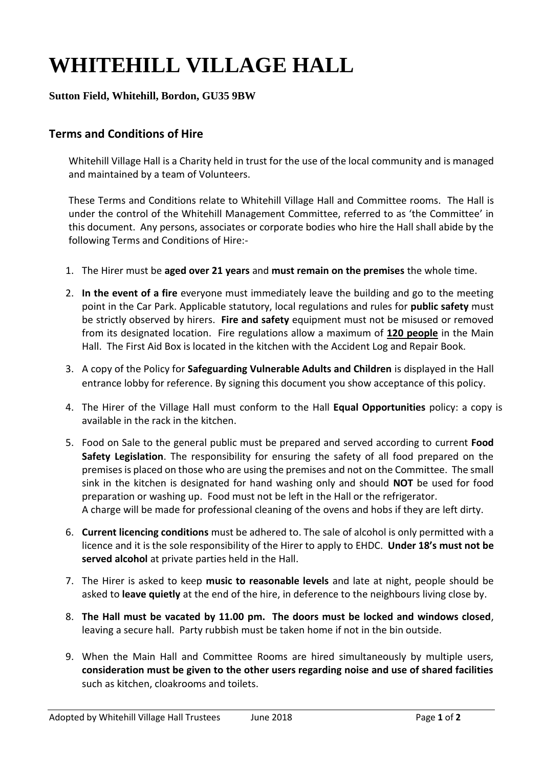## **WHITEHILL VILLAGE HALL**

## **Sutton Field, Whitehill, Bordon, GU35 9BW**

## **Terms and Conditions of Hire**

Whitehill Village Hall is a Charity held in trust for the use of the local community and is managed and maintained by a team of Volunteers.

These Terms and Conditions relate to Whitehill Village Hall and Committee rooms. The Hall is under the control of the Whitehill Management Committee, referred to as 'the Committee' in this document. Any persons, associates or corporate bodies who hire the Hall shall abide by the following Terms and Conditions of Hire:-

- 1. The Hirer must be **aged over 21 years** and **must remain on the premises** the whole time.
- 2. **In the event of a fire** everyone must immediately leave the building and go to the meeting point in the Car Park. Applicable statutory, local regulations and rules for **public safety** must be strictly observed by hirers. **Fire and safety** equipment must not be misused or removed from its designated location. Fire regulations allow a maximum of **120 people** in the Main Hall. The First Aid Box is located in the kitchen with the Accident Log and Repair Book.
- 3. A copy of the Policy for **Safeguarding Vulnerable Adults and Children** is displayed in the Hall entrance lobby for reference. By signing this document you show acceptance of this policy.
- 4. The Hirer of the Village Hall must conform to the Hall **Equal Opportunities** policy: a copy is available in the rack in the kitchen.
- 5. Food on Sale to the general public must be prepared and served according to current **Food Safety Legislation**. The responsibility for ensuring the safety of all food prepared on the premises is placed on those who are using the premises and not on the Committee. The small sink in the kitchen is designated for hand washing only and should **NOT** be used for food preparation or washing up. Food must not be left in the Hall or the refrigerator. A charge will be made for professional cleaning of the ovens and hobs if they are left dirty.
- 6. **Current licencing conditions** must be adhered to. The sale of alcohol is only permitted with a licence and it is the sole responsibility of the Hirer to apply to EHDC. **Under 18's must not be served alcohol** at private parties held in the Hall.
- 7. The Hirer is asked to keep **music to reasonable levels** and late at night, people should be asked to **leave quietly** at the end of the hire, in deference to the neighbours living close by.
- 8. **The Hall must be vacated by 11.00 pm. The doors must be locked and windows closed**, leaving a secure hall. Party rubbish must be taken home if not in the bin outside.
- 9. When the Main Hall and Committee Rooms are hired simultaneously by multiple users, **consideration must be given to the other users regarding noise and use of shared facilities** such as kitchen, cloakrooms and toilets.